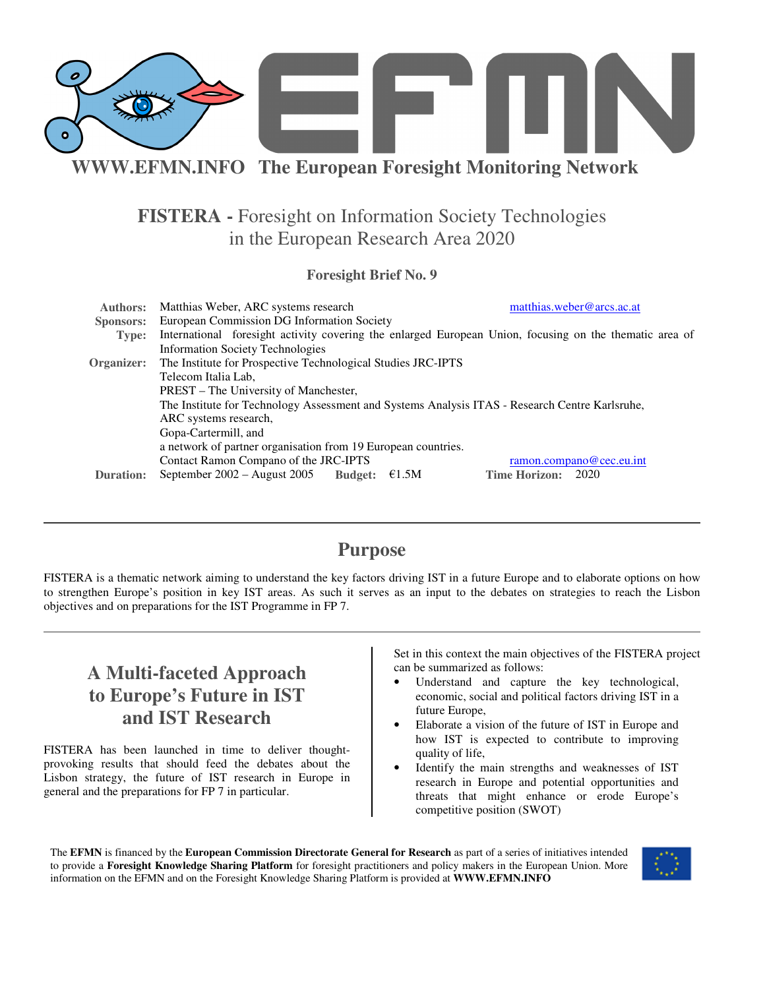

## **FISTERA -** Foresight on Information Society Technologies in the European Research Area 2020

#### **Foresight Brief No. 9**

| <b>Authors:</b>  | Matthias Weber, ARC systems research                                                                                                                                                    | matthias.weber@arcs.ac.at    |  |
|------------------|-----------------------------------------------------------------------------------------------------------------------------------------------------------------------------------------|------------------------------|--|
| <b>Sponsors:</b> | European Commission DG Information Society                                                                                                                                              |                              |  |
| Type:            | International foresight activity covering the enlarged European Union, focusing on the thematic area of                                                                                 |                              |  |
|                  | <b>Information Society Technologies</b>                                                                                                                                                 |                              |  |
| Organizer:       | The Institute for Prospective Technological Studies JRC-IPTS                                                                                                                            |                              |  |
|                  | Telecom Italia Lab,<br>PREST – The University of Manchester,<br>The Institute for Technology Assessment and Systems Analysis ITAS - Research Centre Karlsruhe,<br>ARC systems research, |                              |  |
|                  |                                                                                                                                                                                         |                              |  |
|                  |                                                                                                                                                                                         |                              |  |
|                  |                                                                                                                                                                                         |                              |  |
|                  | Gopa-Cartermill, and                                                                                                                                                                    |                              |  |
|                  | a network of partner organisation from 19 European countries.                                                                                                                           |                              |  |
|                  | Contact Ramon Compano of the JRC-IPTS                                                                                                                                                   | ramon.compano@cec.eu.int     |  |
| <b>Duration:</b> | September $2002 -$ August 2005<br><b>Budget:</b><br>E1.5M                                                                                                                               | <b>Time Horizon:</b><br>2020 |  |

### **Purpose**

FISTERA is a thematic network aiming to understand the key factors driving IST in a future Europe and to elaborate options on how to strengthen Europe's position in key IST areas. As such it serves as an input to the debates on strategies to reach the Lisbon objectives and on preparations for the IST Programme in FP 7.

## **A Multi-faceted Approach to Europe's Future in IST and IST Research**

FISTERA has been launched in time to deliver thoughtprovoking results that should feed the debates about the Lisbon strategy, the future of IST research in Europe in general and the preparations for FP 7 in particular.

Set in this context the main objectives of the FISTERA project can be summarized as follows:

- Understand and capture the key technological, economic, social and political factors driving IST in a future Europe,
- Elaborate a vision of the future of IST in Europe and how IST is expected to contribute to improving quality of life,
- Identify the main strengths and weaknesses of IST research in Europe and potential opportunities and threats that might enhance or erode Europe's competitive position (SWOT)

The **EFMN** is financed by the **European Commission Directorate General for Research** as part of a series of initiatives intended to provide a **Foresight Knowledge Sharing Platform** for foresight practitioners and policy makers in the European Union. More information on the EFMN and on the Foresight Knowledge Sharing Platform is provided at **WWW.EFMN.INFO**

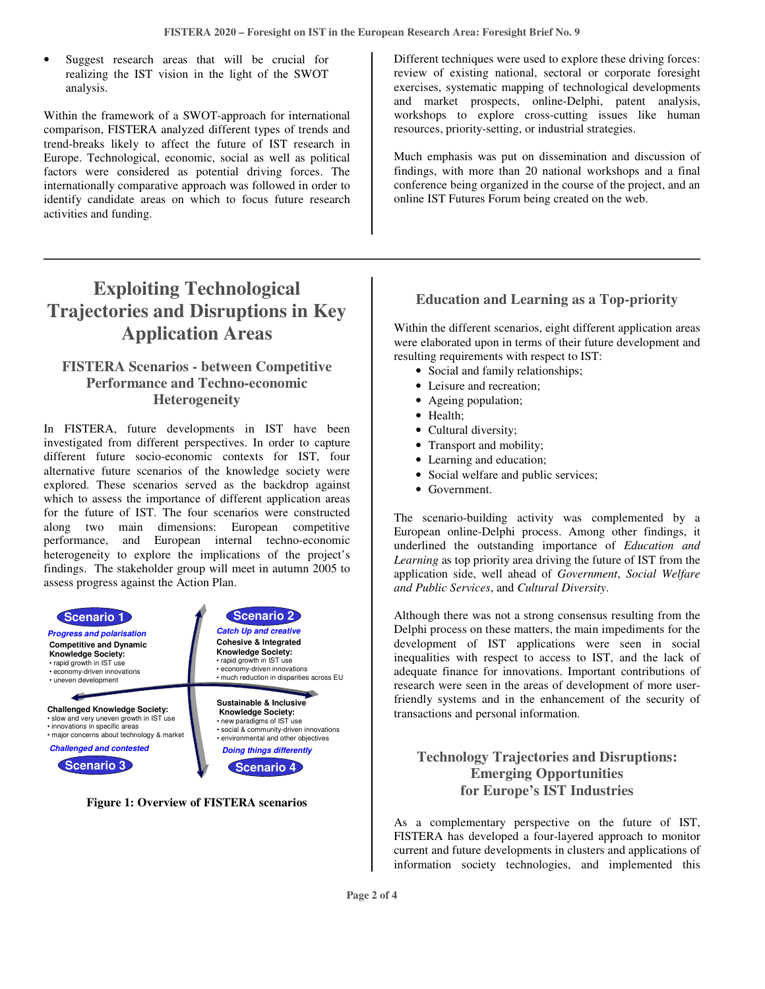Suggest research areas that will be crucial for realizing the IST vision in the light of the SWOT analysis.

Within the framework of a SWOT-approach for international comparison, FISTERA analyzed different types of trends and trend-breaks likely to affect the future of IST research in Europe. Technological, economic, social as well as political factors were considered as potential driving forces. The internationally comparative approach was followed in order to identify candidate areas on which to focus future research activities and funding.

# **Exploiting Technological Trajectories and Disruptions in Key Application Areas**

#### **FISTERA Scenarios - between Competitive Performance and Techno-economic Heterogeneity**

In FISTERA, future developments in IST have been investigated from different perspectives. In order to capture different future socio-economic contexts for IST, four alternative future scenarios of the knowledge society were explored. These scenarios served as the backdrop against which to assess the importance of different application areas for the future of IST. The four scenarios were constructed along two main dimensions: European competitive performance, and European internal techno-economic heterogeneity to explore the implications of the project's findings. The stakeholder group will meet in autumn 2005 to assess progress against the Action Plan.



**Figure 1: Overview of FISTERA scenarios**

Different techniques were used to explore these driving forces: review of existing national, sectoral or corporate foresight exercises, systematic mapping of technological developments and market prospects, online-Delphi, patent analysis, workshops to explore cross-cutting issues like human resources, priority-setting, or industrial strategies.

Much emphasis was put on dissemination and discussion of findings, with more than 20 national workshops and a final conference being organized in the course of the project, and an online IST Futures Forum being created on the web.

### **Education and Learning as a Top-priority**

Within the different scenarios, eight different application areas were elaborated upon in terms of their future development and resulting requirements with respect to IST:

- Social and family relationships;
- Leisure and recreation;
- Ageing population;
- Health;
- Cultural diversity;
- Transport and mobility;
- Learning and education;
- Social welfare and public services;
- Government.

The scenario-building activity was complemented by a European online-Delphi process. Among other findings, it underlined the outstanding importance of *Education and Learning* as top priority area driving the future of IST from the application side, well ahead of *Government*, *Social Welfare and Public Services*, and *Cultural Diversity*.

Although there was not a strong consensus resulting from the Delphi process on these matters, the main impediments for the development of IST applications were seen in social inequalities with respect to access to IST, and the lack of adequate finance for innovations. Important contributions of research were seen in the areas of development of more userfriendly systems and in the enhancement of the security of transactions and personal information.

### **Technology Trajectories and Disruptions: Emerging Opportunities for Europe's IST Industries**

As a complementary perspective on the future of IST, FISTERA has developed a four-layered approach to monitor current and future developments in clusters and applications of information society technologies, and implemented this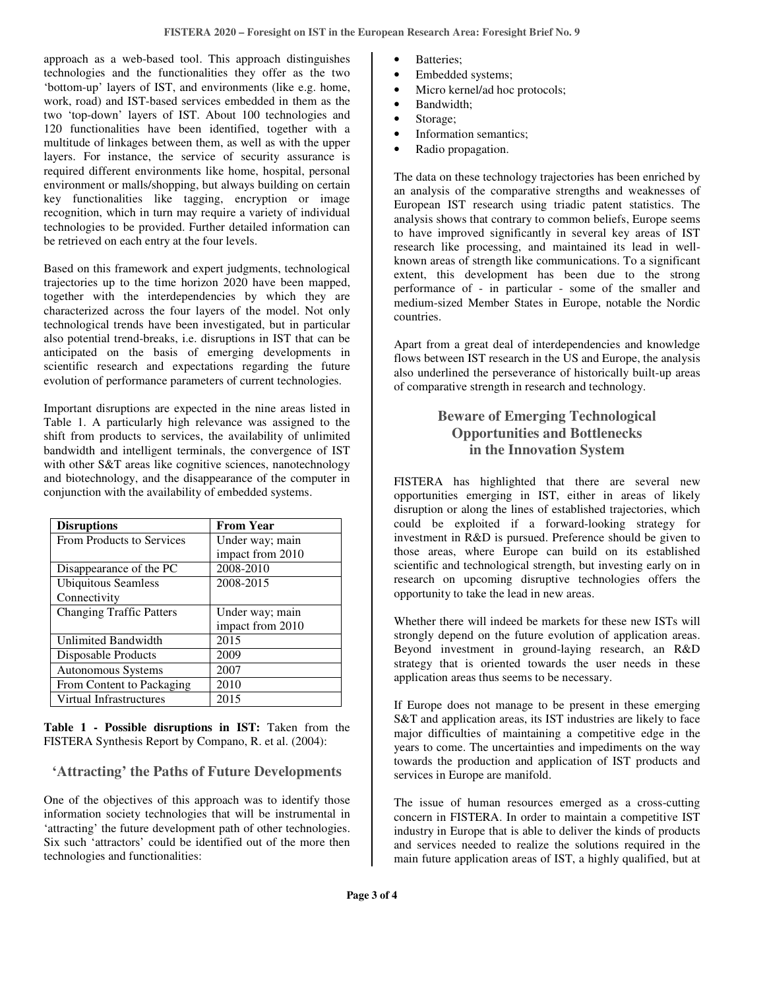approach as a web-based tool. This approach distinguishes technologies and the functionalities they offer as the two 'bottom-up' layers of IST, and environments (like e.g. home, work, road) and IST-based services embedded in them as the two 'top-down' layers of IST. About 100 technologies and 120 functionalities have been identified, together with a multitude of linkages between them, as well as with the upper layers. For instance, the service of security assurance is required different environments like home, hospital, personal environment or malls/shopping, but always building on certain key functionalities like tagging, encryption or image recognition, which in turn may require a variety of individual technologies to be provided. Further detailed information can be retrieved on each entry at the four levels.

Based on this framework and expert judgments, technological trajectories up to the time horizon 2020 have been mapped, together with the interdependencies by which they are characterized across the four layers of the model. Not only technological trends have been investigated, but in particular also potential trend-breaks, i.e. disruptions in IST that can be anticipated on the basis of emerging developments in scientific research and expectations regarding the future evolution of performance parameters of current technologies.

Important disruptions are expected in the nine areas listed in Table 1. A particularly high relevance was assigned to the shift from products to services, the availability of unlimited bandwidth and intelligent terminals, the convergence of IST with other S&T areas like cognitive sciences, nanotechnology and biotechnology, and the disappearance of the computer in conjunction with the availability of embedded systems.

| <b>Disruptions</b>              | <b>From Year</b> |
|---------------------------------|------------------|
| From Products to Services       | Under way; main  |
|                                 | impact from 2010 |
| Disappearance of the PC         | 2008-2010        |
| <b>Ubiquitous Seamless</b>      | 2008-2015        |
| Connectivity                    |                  |
| <b>Changing Traffic Patters</b> | Under way; main  |
|                                 | impact from 2010 |
| <b>Unlimited Bandwidth</b>      | 2015             |
| Disposable Products             | 2009             |
| Autonomous Systems              | 2007             |
| From Content to Packaging       | 2010             |
| Virtual Infrastructures         | 2015             |

**Table 1 - Possible disruptions in IST:** Taken from the FISTERA Synthesis Report by Compano, R. et al. (2004):

#### **'Attracting' the Paths of Future Developments**

One of the objectives of this approach was to identify those information society technologies that will be instrumental in 'attracting' the future development path of other technologies. Six such 'attractors' could be identified out of the more then technologies and functionalities:

- Batteries:
- Embedded systems;
- Micro kernel/ad hoc protocols;
- Bandwidth;
- Storage;
- Information semantics;
- Radio propagation.

The data on these technology trajectories has been enriched by an analysis of the comparative strengths and weaknesses of European IST research using triadic patent statistics. The analysis shows that contrary to common beliefs, Europe seems to have improved significantly in several key areas of IST research like processing, and maintained its lead in wellknown areas of strength like communications. To a significant extent, this development has been due to the strong performance of - in particular - some of the smaller and medium-sized Member States in Europe, notable the Nordic countries.

Apart from a great deal of interdependencies and knowledge flows between IST research in the US and Europe, the analysis also underlined the perseverance of historically built-up areas of comparative strength in research and technology.

### **Beware of Emerging Technological Opportunities and Bottlenecks in the Innovation System**

FISTERA has highlighted that there are several new opportunities emerging in IST, either in areas of likely disruption or along the lines of established trajectories, which could be exploited if a forward-looking strategy for investment in R&D is pursued. Preference should be given to those areas, where Europe can build on its established scientific and technological strength, but investing early on in research on upcoming disruptive technologies offers the opportunity to take the lead in new areas.

Whether there will indeed be markets for these new ISTs will strongly depend on the future evolution of application areas. Beyond investment in ground-laying research, an R&D strategy that is oriented towards the user needs in these application areas thus seems to be necessary.

If Europe does not manage to be present in these emerging S&T and application areas, its IST industries are likely to face major difficulties of maintaining a competitive edge in the years to come. The uncertainties and impediments on the way towards the production and application of IST products and services in Europe are manifold.

The issue of human resources emerged as a cross-cutting concern in FISTERA. In order to maintain a competitive IST industry in Europe that is able to deliver the kinds of products and services needed to realize the solutions required in the main future application areas of IST, a highly qualified, but at